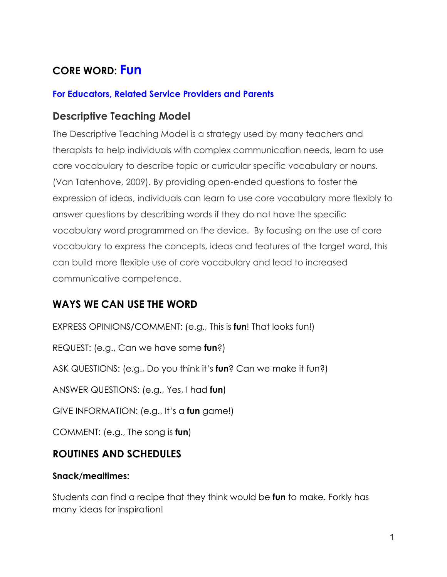# **CORE WORD: Fun**

#### **For Educators, Related Service Providers and Parents**

### **Descriptive Teaching Model**

The Descriptive Teaching Model is a strategy used by many teachers and therapists to help individuals with complex communication needs, learn to use core vocabulary to describe topic or curricular specific vocabulary or nouns. (Van Tatenhove, 2009). By providing open-ended questions to foster the expression of ideas, individuals can learn to use core vocabulary more flexibly to answer questions by describing words if they do not have the specific vocabulary word programmed on the device. By focusing on the use of core vocabulary to express the concepts, ideas and features of the target word, this can build more flexible use of core vocabulary and lead to increased communicative competence.

### **WAYS WE CAN USE THE WORD**

EXPRESS OPINIONS/COMMENT: (e.g., This is **fun**! That looks fun!)

REQUEST: (e.g., Can we have some **fun**?)

ASK QUESTIONS: (e.g., Do you think it's **fun**? Can we make it fun?)

ANSWER QUESTIONS: (e.g., Yes, I had **fun**)

GIVE INFORMATION: (e.g., It's a **fun** game!)

COMMENT: (e.g., The song is **fun**)

### **ROUTINES AND SCHEDULES**

#### **Snack/mealtimes:**

Students can find a recipe that they think would be **fun** to make. Forkly has many ideas for inspiration!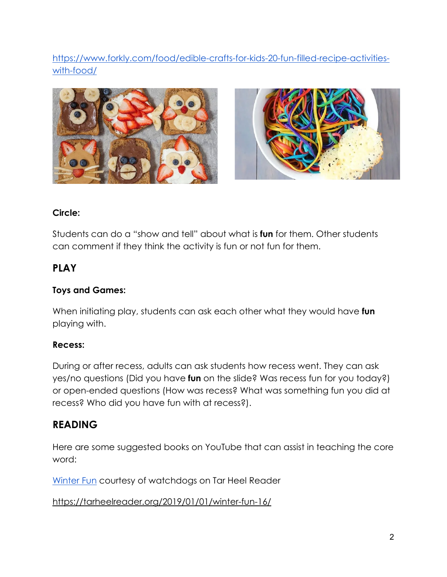[https://www.forkly.com/food/edible-crafts-for-kids-20-fun-filled-recipe-activities](https://www.forkly.com/food/edible-crafts-for-kids-20-fun-filled-recipe-activities-with-food/)[with-food/](https://www.forkly.com/food/edible-crafts-for-kids-20-fun-filled-recipe-activities-with-food/)



#### **Circle:**

Students can do a "show and tell" about what is **fun** for them. Other students can comment if they think the activity is fun or not fun for them.

### **PLAY**

#### **Toys and Games:**

When initiating play, students can ask each other what they would have **fun** playing with.

#### **Recess:**

During or after recess, adults can ask students how recess went. They can ask yes/no questions (Did you have **fun** on the slide? Was recess fun for you today?) or open-ended questions (How was recess? What was something fun you did at recess? Who did you have fun with at recess?).

### **READING**

Here are some suggested books on YouTube that can assist in teaching the core word:

[Winter Fun](https://tarheelreader.org/2019/01/01/winter-fun-16/) courtesy of watchdogs on Tar Heel Reader

<https://tarheelreader.org/2019/01/01/winter-fun-16/>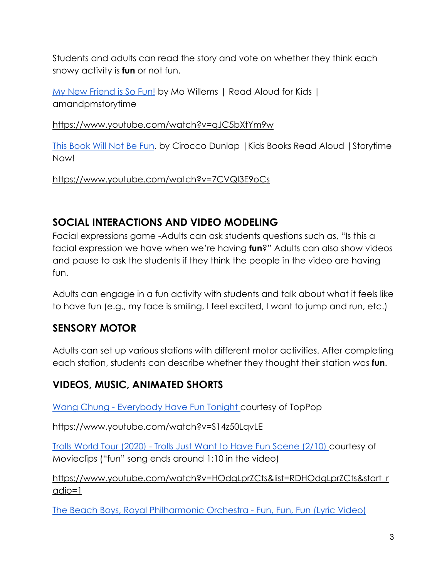Students and adults can read the story and vote on whether they think each snowy activity is **fun** or not fun.

My New Friend is So Fun! by Mo Willems | Read Aloud for Kids | amandpmstorytime

<https://www.youtube.com/watch?v=qJC5bXtYm9w>

This Book Will Not Be Fun, by Cirocco Dunlap |Kids Books Read Aloud |Storytime Now!

<https://www.youtube.com/watch?v=7CVQl3E9oCs>

## **SOCIAL INTERACTIONS AND VIDEO MODELING**

Facial expressions game -Adults can ask students questions such as, "Is this a facial expression we have when we're having **fun**?" Adults can also show videos and pause to ask the students if they think the people in the video are having fun.

Adults can engage in a fun activity with students and talk about what it feels like to have fun (e.g., my face is smiling, I feel excited, I want to jump and run, etc.)

# **SENSORY MOTOR**

Adults can set up various stations with different motor activities. After completing each station, students can describe whether they thought their station was **fun**.

# **VIDEOS, MUSIC, ANIMATED SHORTS**

[Wang Chung - Everybody Have Fun Tonight c](https://www.youtube.com/watch?v=S14z50LqvLE)ourtesy of TopPop

<https://www.youtube.com/watch?v=S14z50LqvLE>

[Trolls World Tour \(2020\) - Trolls Just Want to Have Fun Scene \(2/10\) c](https://www.youtube.com/watch?v=HOdgLprZCts&list=RDHOdgLprZCts&start_radio=1)ourtesy of Movieclips ("fun" song ends around 1:10 in the video)

[https://www.youtube.com/watch?v=HOdgLprZCts&list=RDHOdgLprZCts&start\\_r](https://www.youtube.com/watch?v=HOdgLprZCts&list=RDHOdgLprZCts&start_radio=1) [adio=1](https://www.youtube.com/watch?v=HOdgLprZCts&list=RDHOdgLprZCts&start_radio=1)

[The Beach Boys, Royal Philharmonic Orchestra - Fun, Fun, Fun \(Lyric Video\)](https://www.youtube.com/watch?v=xUGM1SkEfE4)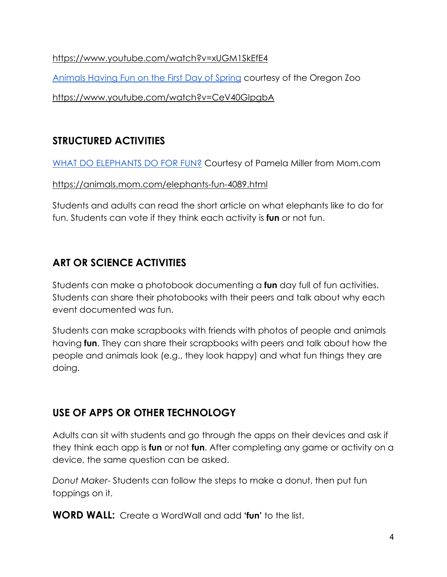#### <https://www.youtube.com/watch?v=xUGM1SkEfE4>

[Animals Having Fun on the First Day of Spring](https://www.youtube.com/watch?v=CeV40GIpgbA) courtesy of the Oregon Zoo

<https://www.youtube.com/watch?v=CeV40GIpgbA>

# **STRUCTURED ACTIVITIES**

[WHAT DO ELEPHANTS DO FOR FUN?](https://animals.mom.com/elephants-fun-4089.html) Courtesy of Pamela Miller from Mom.com

#### <https://animals.mom.com/elephants-fun-4089.html>

Students and adults can read the short article on what elephants like to do for fun. Students can vote if they think each activity is **fun** or not fun.

# **ART OR SCIENCE ACTIVITIES**

Students can make a photobook documenting a **fun** day full of fun activities. Students can share their photobooks with their peers and talk about why each event documented was fun.

Students can make scrapbooks with friends with photos of people and animals having **fun**. They can share their scrapbooks with peers and talk about how the people and animals look (e.g., they look happy) and what fun things they are doing.

# **USE OF APPS OR OTHER TECHNOLOGY**

Adults can sit with students and go through the apps on their devices and ask if they think each app is **fun** or not **fun**. After completing any game or activity on a device, the same question can be asked.

*Donut Maker*- Students can follow the steps to make a donut, then put fun toppings on it.

**WORD WALL:** Create a WordWall and add **'fun'** to the list.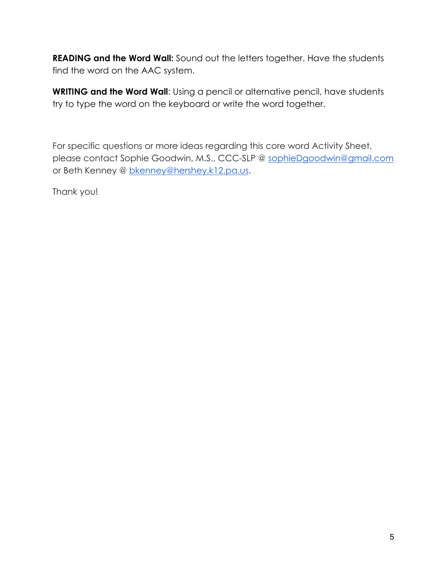**READING and the Word Wall:** Sound out the letters together. Have the students find the word on the AAC system.

**WRITING and the Word Wall**: Using a pencil or alternative pencil, have students try to type the word on the keyboard or write the word together.

For specific questions or more ideas regarding this core word Activity Sheet, please contact Sophie Goodwin, M.S., CCC-SLP @ [sophieDgoodwin@gmail.com](mailto:sophieDgoodwin@gmail.com) or Beth Kenney @ [bkenney@hershey.k12.pa.us.](mailto:bkenney@hershey.k12.pa.us)

Thank you!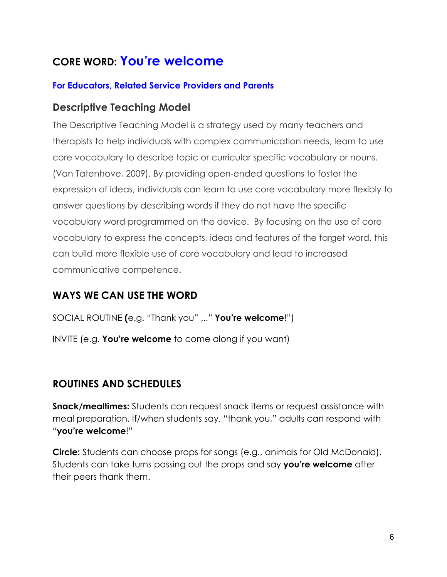# **CORE WORD: You're welcome**

#### **For Educators, Related Service Providers and Parents**

### **Descriptive Teaching Model**

The Descriptive Teaching Model is a strategy used by many teachers and therapists to help individuals with complex communication needs, learn to use core vocabulary to describe topic or curricular specific vocabulary or nouns. (Van Tatenhove, 2009). By providing open-ended questions to foster the expression of ideas, individuals can learn to use core vocabulary more flexibly to answer questions by describing words if they do not have the specific vocabulary word programmed on the device. By focusing on the use of core vocabulary to express the concepts, ideas and features of the target word, this can build more flexible use of core vocabulary and lead to increased communicative competence.

### **WAYS WE CAN USE THE WORD**

SOCIAL ROUTINE **(**e.g. "Thank you" ..." **You're welcome**!") INVITE (e.g. **You're welcome** to come along if you want)

### **ROUTINES AND SCHEDULES**

**Snack/mealtimes:** Students can request snack items or request assistance with meal preparation. If/when students say, "thank you," adults can respond with "**you're welcome**!"

**Circle:** Students can choose props for songs (e.g., animals for Old McDonald). Students can take turns passing out the props and say **you're welcome** after their peers thank them.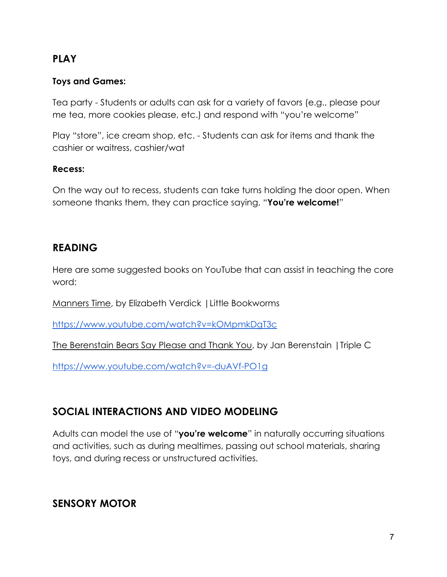### **PLAY**

#### **Toys and Games:**

Tea party - Students or adults can ask for a variety of favors (e.g., please pour me tea, more cookies please, etc.) and respond with "you're welcome"

Play "store", ice cream shop, etc. - Students can ask for items and thank the cashier or waitress, cashier/wat

#### **Recess:**

On the way out to recess, students can take turns holding the door open. When someone thanks them, they can practice saying, "**You're welcome!**"

### **READING**

Here are some suggested books on YouTube that can assist in teaching the core word:

Manners Time, by Elizabeth Verdick |Little Bookworms

<https://www.youtube.com/watch?v=kOMpmkDgT3c>

The Berenstain Bears Say Please and Thank You, by Jan Berenstain |Triple C

<https://www.youtube.com/watch?v=-duAVf-PO1g>

# **SOCIAL INTERACTIONS AND VIDEO MODELING**

Adults can model the use of "**you're welcome**" in naturally occurring situations and activities, such as during mealtimes, passing out school materials, sharing toys, and during recess or unstructured activities.

### **SENSORY MOTOR**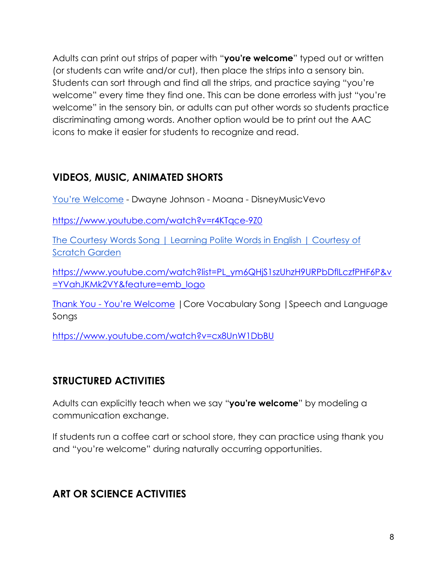Adults can print out strips of paper with "**you're welcome**" typed out or written (or students can write and/or cut), then place the strips into a sensory bin. Students can sort through and find all the strips, and practice saying "you're welcome" every time they find one. This can be done errorless with just "you're welcome" in the sensory bin, or adults can put other words so students practice discriminating among words. Another option would be to print out the AAC icons to make it easier for students to recognize and read.

## **VIDEOS, MUSIC, ANIMATED SHORTS**

[You're Welcome](https://www.youtube.com/watch?v=r4KTqce-9Z0) - Dwayne Johnson - Moana - DisneyMusicVevo

<https://www.youtube.com/watch?v=r4KTqce-9Z0>

[The Courtesy Words Song | Learning Polite Words in English | Courtesy of](https://www.youtube.com/watch?list=PL_ym6QHjS1szUhzH9URPbDflLczfPHF6P&v=YVahJKMk2VY&feature=emb_logo)  [Scratch Garden](https://www.youtube.com/watch?list=PL_ym6QHjS1szUhzH9URPbDflLczfPHF6P&v=YVahJKMk2VY&feature=emb_logo)

[https://www.youtube.com/watch?list=PL\\_ym6QHjS1szUhzH9URPbDflLczfPHF6P&v](https://www.youtube.com/watch?list=PL_ym6QHjS1szUhzH9URPbDflLczfPHF6P&v=YVahJKMk2VY&feature=emb_logo) [=YVahJKMk2VY&feature=emb\\_logo](https://www.youtube.com/watch?list=PL_ym6QHjS1szUhzH9URPbDflLczfPHF6P&v=YVahJKMk2VY&feature=emb_logo)

Thank You - You're Welcome |Core Vocabulary Song |Speech and Language Songs

<https://www.youtube.com/watch?v=cx8UnW1DbBU>

### **STRUCTURED ACTIVITIES**

Adults can explicitly teach when we say "**you're welcome**" by modeling a communication exchange.

If students run a coffee cart or school store, they can practice using thank you and "you're welcome" during naturally occurring opportunities.

### **ART OR SCIENCE ACTIVITIES**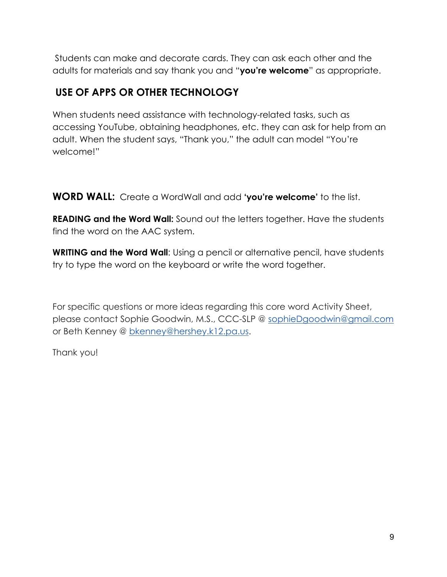Students can make and decorate cards. They can ask each other and the adults for materials and say thank you and "**you're welcome**" as appropriate.

# **USE OF APPS OR OTHER TECHNOLOGY**

When students need assistance with technology-related tasks, such as accessing YouTube, obtaining headphones, etc. they can ask for help from an adult. When the student says, "Thank you," the adult can model "You're welcome!"

**WORD WALL:** Create a WordWall and add **'you're welcome'** to the list.

**READING and the Word Wall:** Sound out the letters together. Have the students find the word on the AAC system.

**WRITING and the Word Wall:** Using a pencil or alternative pencil, have students try to type the word on the keyboard or write the word together.

For specific questions or more ideas regarding this core word Activity Sheet, please contact Sophie Goodwin, M.S., CCC-SLP @ [sophieDgoodwin@gmail.com](mailto:sophieDgoodwin@gmail.com) or Beth Kenney @ [bkenney@hershey.k12.pa.us.](mailto:bkenney@hershey.k12.pa.us)

Thank you!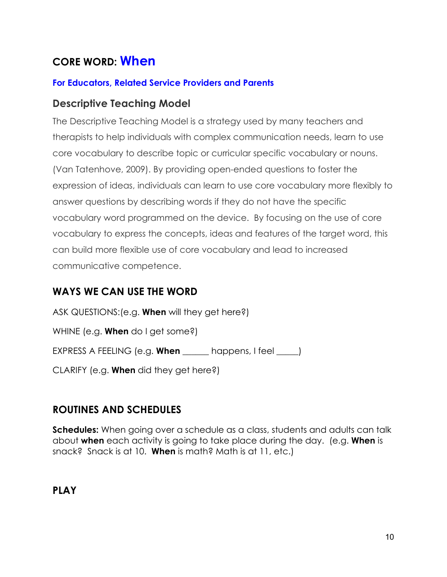# **CORE WORD: When**

#### **For Educators, Related Service Providers and Parents**

#### **Descriptive Teaching Model**

The Descriptive Teaching Model is a strategy used by many teachers and therapists to help individuals with complex communication needs, learn to use core vocabulary to describe topic or curricular specific vocabulary or nouns. (Van Tatenhove, 2009). By providing open-ended questions to foster the expression of ideas, individuals can learn to use core vocabulary more flexibly to answer questions by describing words if they do not have the specific vocabulary word programmed on the device. By focusing on the use of core vocabulary to express the concepts, ideas and features of the target word, this can build more flexible use of core vocabulary and lead to increased communicative competence.

### **WAYS WE CAN USE THE WORD**

ASK QUESTIONS:(e.g. **When** will they get here?) WHINE (e.g. **When** do I get some?) EXPRESS A FEELING (e.g. **When** \_\_\_\_\_\_ happens, I feel \_\_\_\_\_) CLARIFY (e.g. **When** did they get here?)

### **ROUTINES AND SCHEDULES**

**Schedules:** When going over a schedule as a class, students and adults can talk about **when** each activity is going to take place during the day. (e.g. **When** is snack? Snack is at 10. **When** is math? Math is at 11, etc.)

**PLAY**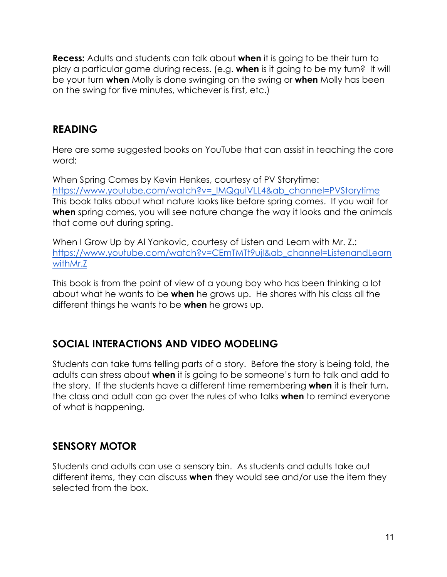**Recess:** Adults and students can talk about **when** it is going to be their turn to play a particular game during recess. (e.g. **when** is it going to be my turn? It will be your turn **when** Molly is done swinging on the swing or **when** Molly has been on the swing for five minutes, whichever is first, etc.)

### **READING**

Here are some suggested books on YouTube that can assist in teaching the core word:

When Spring Comes by Kevin Henkes, courtesy of PV Storytime: [https://www.youtube.com/watch?v=\\_IMQguIVLL4&ab\\_channel=PVStorytime](https://www.youtube.com/watch?v=_IMQguIVLL4&ab_channel=PVStorytime) This book talks about what nature looks like before spring comes. If you wait for **when** spring comes, you will see nature change the way it looks and the animals that come out during spring.

When I Grow Up by Al Yankovic, courtesy of Listen and Learn with Mr. Z.: [https://www.youtube.com/watch?v=CEmTMTt9ujI&ab\\_channel=ListenandLearn](https://www.youtube.com/watch?v=CEmTMTt9ujI&ab_channel=ListenandLearnwithMr.Z) [withMr.Z](https://www.youtube.com/watch?v=CEmTMTt9ujI&ab_channel=ListenandLearnwithMr.Z)

This book is from the point of view of a young boy who has been thinking a lot about what he wants to be **when** he grows up. He shares with his class all the different things he wants to be **when** he grows up.

### **SOCIAL INTERACTIONS AND VIDEO MODELING**

Students can take turns telling parts of a story. Before the story is being told, the adults can stress about **when** it is going to be someone's turn to talk and add to the story. If the students have a different time remembering **when** it is their turn, the class and adult can go over the rules of who talks **when** to remind everyone of what is happening.

### **SENSORY MOTOR**

Students and adults can use a sensory bin. As students and adults take out different items, they can discuss **when** they would see and/or use the item they selected from the box.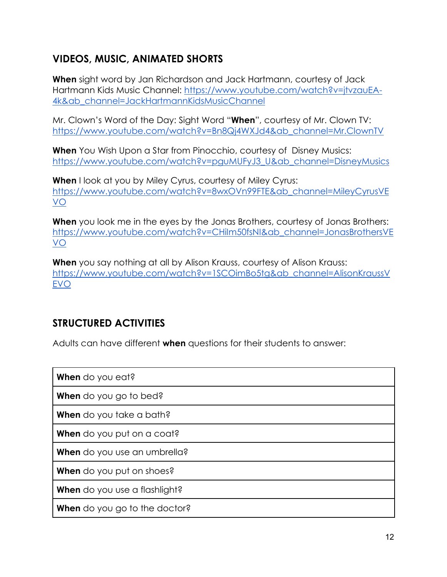# **VIDEOS, MUSIC, ANIMATED SHORTS**

**When** sight word by Jan Richardson and Jack Hartmann, courtesy of Jack Hartmann Kids Music Channel: [https://www.youtube.com/watch?v=jtvzauEA-](https://www.youtube.com/watch?v=jtvzauEA-4k&ab_channel=JackHartmannKidsMusicChannel)[4k&ab\\_channel=JackHartmannKidsMusicChannel](https://www.youtube.com/watch?v=jtvzauEA-4k&ab_channel=JackHartmannKidsMusicChannel)

Mr. Clown's Word of the Day: Sight Word "**When**", courtesy of Mr. Clown TV: [https://www.youtube.com/watch?v=Bn8Qj4WXJd4&ab\\_channel=Mr.ClownTV](https://www.youtube.com/watch?v=Bn8Qj4WXJd4&ab_channel=Mr.ClownTV)

**When** You Wish Upon a Star from Pinocchio, courtesy of Disney Musics: [https://www.youtube.com/watch?v=pguMUFyJ3\\_U&ab\\_channel=DisneyMusics](https://www.youtube.com/watch?v=pguMUFyJ3_U&ab_channel=DisneyMusics)

**When** I look at you by Miley Cyrus, courtesy of Miley Cyrus: [https://www.youtube.com/watch?v=8wxOVn99FTE&ab\\_channel=MileyCyrusVE](https://www.youtube.com/watch?v=8wxOVn99FTE&ab_channel=MileyCyrusVEVO) [VO](https://www.youtube.com/watch?v=8wxOVn99FTE&ab_channel=MileyCyrusVEVO)

**When** you look me in the eyes by the Jonas Brothers, courtesy of Jonas Brothers: [https://www.youtube.com/watch?v=CHiIm50fsNI&ab\\_channel=JonasBrothersVE](https://www.youtube.com/watch?v=CHiIm50fsNI&ab_channel=JonasBrothersVEVO) [VO](https://www.youtube.com/watch?v=CHiIm50fsNI&ab_channel=JonasBrothersVEVO)

**When** you say nothing at all by Alison Krauss, courtesy of Alison Krauss: [https://www.youtube.com/watch?v=1SCOimBo5tg&ab\\_channel=AlisonKraussV](https://www.youtube.com/watch?v=1SCOimBo5tg&ab_channel=AlisonKraussVEVO) [EVO](https://www.youtube.com/watch?v=1SCOimBo5tg&ab_channel=AlisonKraussVEVO)

# **STRUCTURED ACTIVITIES**

Adults can have different **when** questions for their students to answer:

| When do you eat?                     |
|--------------------------------------|
| When do you go to bed?               |
| When do you take a bath?             |
| When do you put on a coat?           |
| When do you use an umbrella?         |
| When do you put on shoes?            |
| When do you use a flashlight?        |
| <b>When</b> do you go to the doctor? |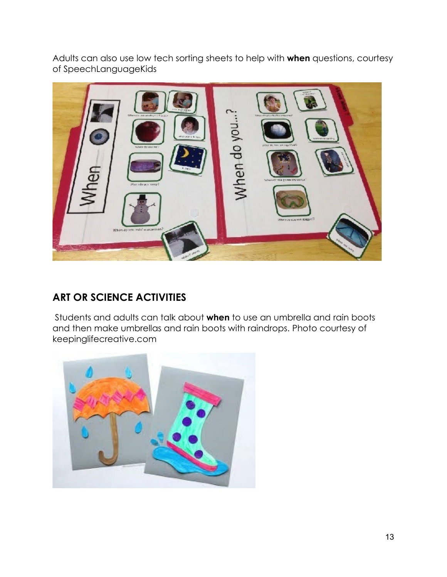Adults can also use low tech sorting sheets to help with **when** questions, courtesy of SpeechLanguageKids



# **ART OR SCIENCE ACTIVITIES**

Students and adults can talk about **when** to use an umbrella and rain boots and then make umbrellas and rain boots with raindrops. Photo courtesy of keepinglifecreative.com